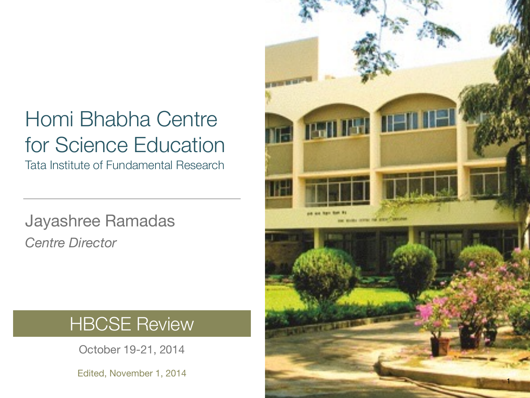#### Homi Bhabha Centre for Science Education

Tata Institute of Fundamental Research

Jayashree Ramadas *Centre Director*

#### **HBCSE Review**

October 19-21, 2014

Edited, November 1, 2014

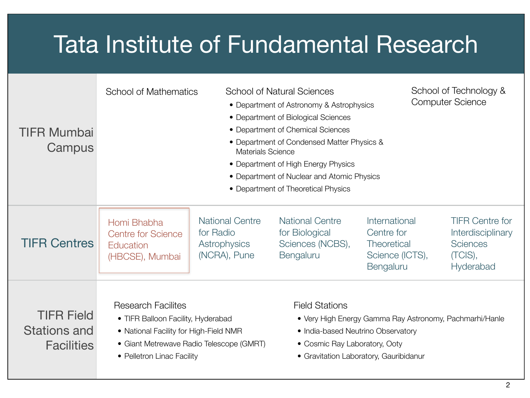#### Tata Institute of Fundamental Research

| <b>TIFR Mumbai</b><br>Campus                           | <b>School of Natural Sciences</b><br><b>School of Mathematics</b><br>• Department of Astronomy & Astrophysics<br>• Department of Biological Sciences<br>• Department of Chemical Sciences<br>• Department of Condensed Matter Physics &<br><b>Materials Science</b><br>• Department of High Energy Physics<br>• Department of Nuclear and Atomic Physics<br>• Department of Theoretical Physics |                                                                     |                                                                                                                                                                                                   |                                                                                   | School of Technology &<br><b>Computer Science</b>                                                    |  |
|--------------------------------------------------------|-------------------------------------------------------------------------------------------------------------------------------------------------------------------------------------------------------------------------------------------------------------------------------------------------------------------------------------------------------------------------------------------------|---------------------------------------------------------------------|---------------------------------------------------------------------------------------------------------------------------------------------------------------------------------------------------|-----------------------------------------------------------------------------------|------------------------------------------------------------------------------------------------------|--|
| <b>TIFR Centres</b>                                    | Homi Bhabha<br><b>Centre for Science</b><br>Education<br>(HBCSE), Mumbai                                                                                                                                                                                                                                                                                                                        | <b>National Centre</b><br>for Radio<br>Astrophysics<br>(NCRA), Pune | <b>National Centre</b><br>for Biological<br>Sciences (NCBS),<br>Bengaluru                                                                                                                         | International<br>Centre for<br><b>Theoretical</b><br>Science (ICTS),<br>Bengaluru | <b>TIFR Centre for</b><br><b>Interdisciplinary</b><br><b>Sciences</b><br>(TCIS),<br><b>Hyderabad</b> |  |
| <b>TIFR Field</b><br>Stations and<br><b>Facilities</b> | <b>Research Facilites</b><br>• TIFR Balloon Facility, Hyderabad<br>• National Facility for High-Field NMR<br>• Giant Metrewave Radio Telescope (GMRT)<br>• Pelletron Linac Facility                                                                                                                                                                                                             |                                                                     | <b>Field Stations</b><br>• Very High Energy Gamma Ray Astronomy, Pachmarhi/Hanle<br>• India-based Neutrino Observatory<br>• Cosmic Ray Laboratory, Ooty<br>• Gravitation Laboratory, Gauribidanur |                                                                                   |                                                                                                      |  |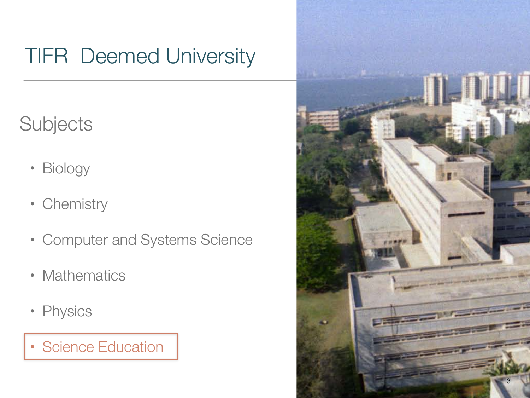#### TIFR Deemed University

**Subjects** 

- Biology
- Chemistry
- Computer and Systems Science
- Mathematics
- Physics
- Science Education

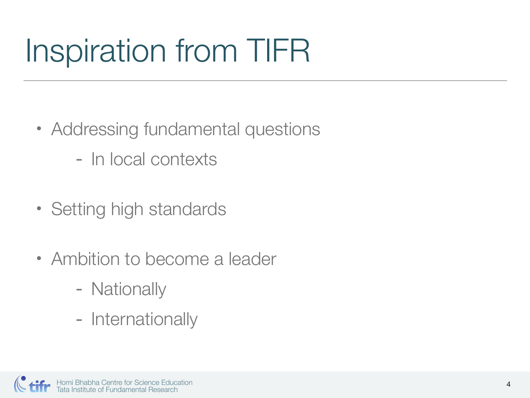# Inspiration from TIFR

- Addressing fundamental questions
	- In local contexts
- Setting high standards
- Ambition to become a leader
	- Nationally
	- Internationally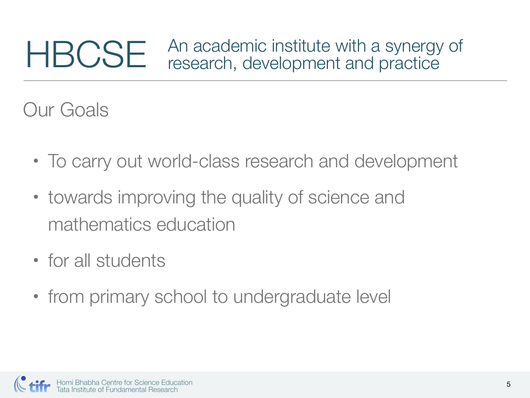#### HBCSE An academic institute with a synergy of research, development and practice

Our Goals

- To carry out world-class research and development
- towards improving the quality of science and mathematics education
- for all students
- from primary school to undergraduate level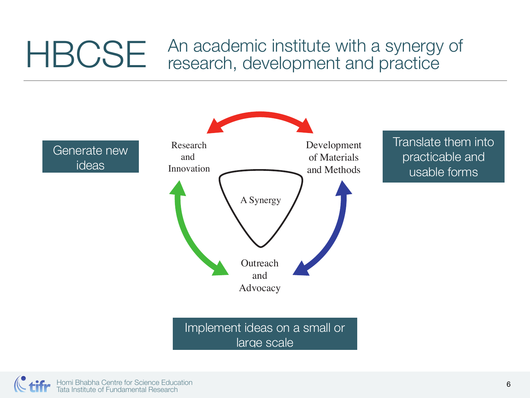#### HBCSE An academic institute with a synergy of<br>research, development and practice research, development and practice



Homi Bhabha Centre for Science Education Tata Institute of Fundamental Research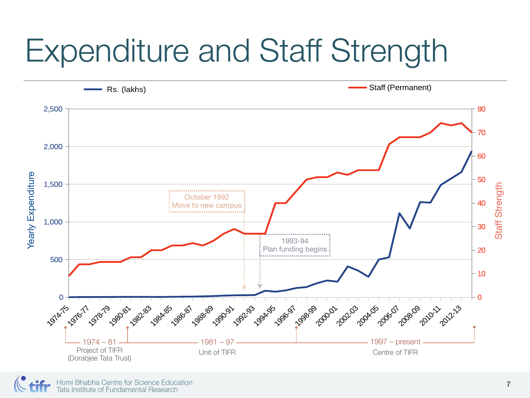### Expenditure and Staff Strength

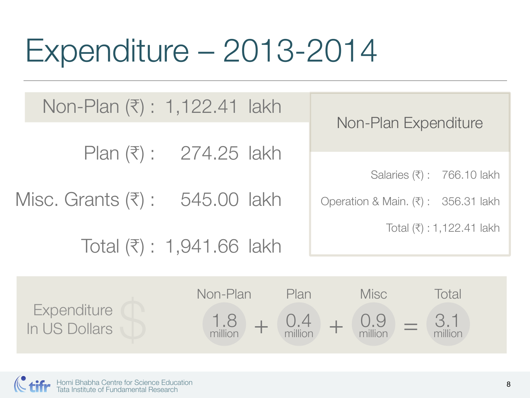### Expenditure – 2013-2014

| Non-Plan (₹) : 1,122.41 lakh                   |                                                             |      |                                    |
|------------------------------------------------|-------------------------------------------------------------|------|------------------------------------|
|                                                | Plan $(\bar{x})$ : 274.25 lakh                              |      | Non-Plan Expenditure               |
|                                                |                                                             |      | Salaries (₹): 766.10 lakh          |
| Misc. Grants $(\overline{\tau})$ : 545.00 lakh |                                                             |      | Operation & Main. (₹): 356.31 lakh |
|                                                | Total $(3)$ : 1,941.66 lakh                                 |      | Total $(\bar{x}) : 1,122.41$ lakh  |
|                                                |                                                             |      |                                    |
|                                                | Non-Plan                                                    | Plan | <b>Misc</b><br>Total               |
| Expenditure<br>In US Dollars                   | $\frac{1.8}{\text{million}}$ + $\frac{0.4}{\text{million}}$ |      | 3.1<br>$+$ 0.9<br>million          |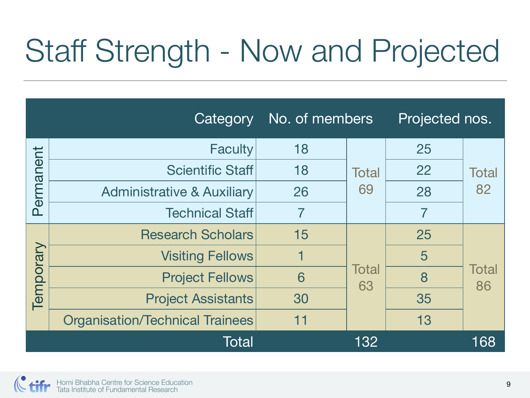### Staff Strength - Now and Projected

|           | Category                               | No. of members |                    | Projected nos. |                    |
|-----------|----------------------------------------|----------------|--------------------|----------------|--------------------|
| Permanent | <b>Faculty</b>                         | 18             | <b>Total</b><br>69 | 25             | <b>Total</b><br>82 |
|           | <b>Scientific Staff</b>                | 18             |                    | 22             |                    |
|           | <b>Administrative &amp; Auxiliary</b>  | 26             |                    | 28             |                    |
|           | <b>Technical Staff</b>                 |                |                    |                |                    |
| Temporary | <b>Research Scholars</b>               | 15             | <b>Total</b><br>63 | 25             | <b>Total</b><br>86 |
|           | <b>Visiting Fellows</b>                |                |                    | 5              |                    |
|           | <b>Project Fellows</b>                 | 6              |                    | 8              |                    |
|           | <b>Project Assistants</b>              | 30             |                    | 35             |                    |
|           | <b>Organisation/Technical Trainees</b> | 11             |                    | 13             |                    |
|           | <b>Total</b>                           |                | 132                |                | 168                |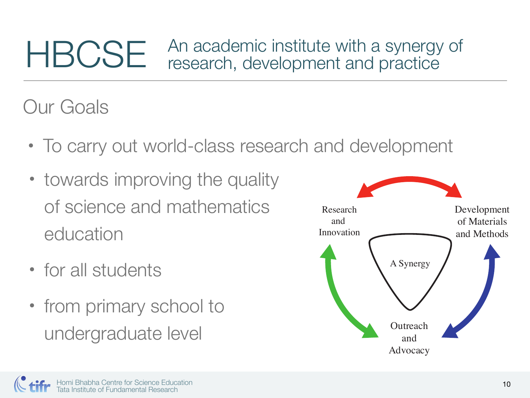#### **HBCSE** An academic institute with a synergy of research, development and practice

#### Our Goals

- To carry out world-class research and development
- towards improving the quality of science and mathematics education
- for all students
- from primary school to undergraduate level

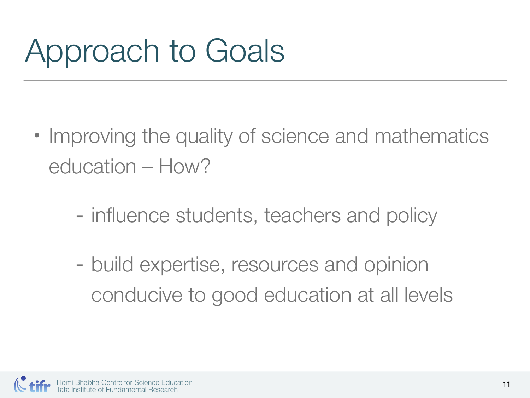## Approach to Goals

- Improving the quality of science and mathematics education – How?
	- influence students, teachers and policy
	- build expertise, resources and opinion conducive to good education at all levels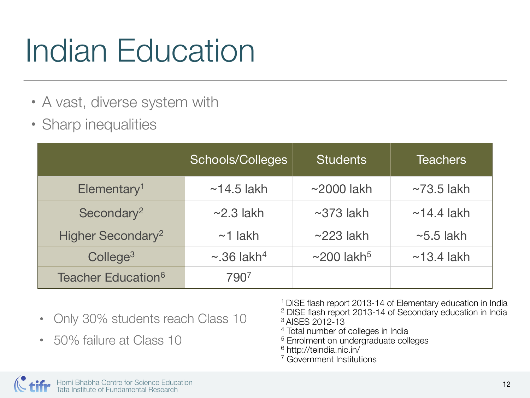### Indian Education

- A vast, diverse system with
- Sharp inequalities

|                                | Schools/Colleges             | <b>Students</b>              | Teachers         |
|--------------------------------|------------------------------|------------------------------|------------------|
| Elementary <sup>1</sup>        | $~14.5$ lakh                 | $\sim$ 2000 lakh             | $\sim$ 73.5 lakh |
| Secondary <sup>2</sup>         | $\sim$ 2.3 lakh              | $\sim$ 373 lakh              | $\sim$ 14.4 lakh |
| Higher Secondary <sup>2</sup>  | $~1$ lakh                    | $\sim$ 223 lakh              | $\sim$ 5.5 lakh  |
| College <sup>3</sup>           | $\sim$ .36 lakh <sup>4</sup> | $\sim$ 200 lakh <sup>5</sup> | $~13.4$ lakh     |
| Teacher Education <sup>6</sup> | 7907                         |                              |                  |

- Only 30% students reach Class 10
- 50% failure at Class 10
- 1 DISE flash report 2013-14 of Elementary education in India 2 DISE flash report 2013-14 of Secondary education in India 3 AISES 2012-13
- 4 Total number of colleges in India
- 5 Enrolment on undergraduate colleges
- 6 http://teindia.nic.in/
- 7 Government Institutions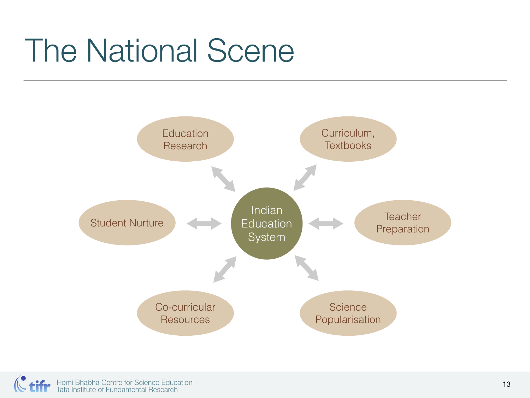### The National Scene

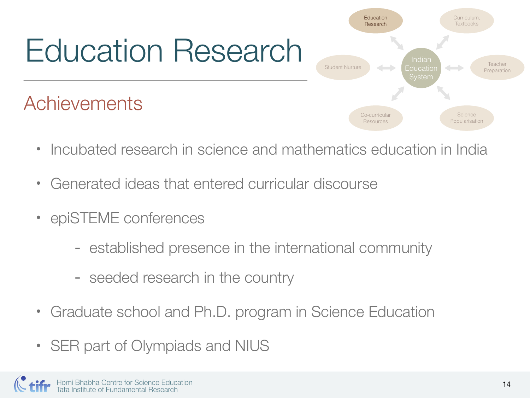# Education Research

#### Achievements



- Incubated research in science and mathematics education in India
- Generated ideas that entered curricular discourse
- epiSTEME conferences
	- established presence in the international community
	- seeded research in the country
- Graduate school and Ph.D. program in Science Education
- SER part of Olympiads and NIUS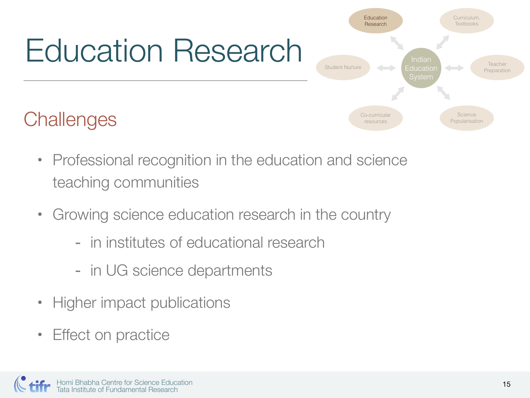# Education Research

#### **Challenges**

- Professional recognition in the education and science teaching communities
- Growing science education research in the country
	- in institutes of educational research
	- in UG science departments
- Higher impact publications
- Effect on practice

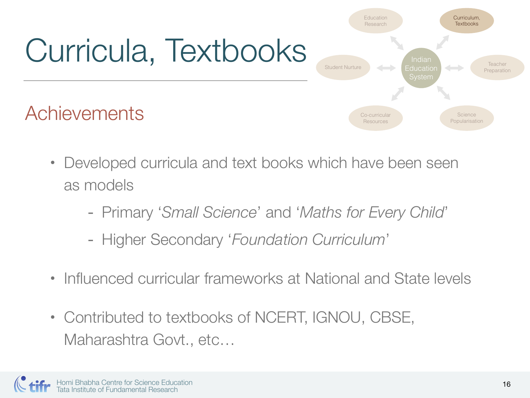

• Developed curricula and text books which have been seen as models

- Primary '*Small Science*' and '*Maths for Every Child*'
- Higher Secondary '*Foundation Curriculum*'
- Influenced curricular frameworks at National and State levels
- Contributed to textbooks of NCERT, IGNOU, CBSE, Maharashtra Govt., etc…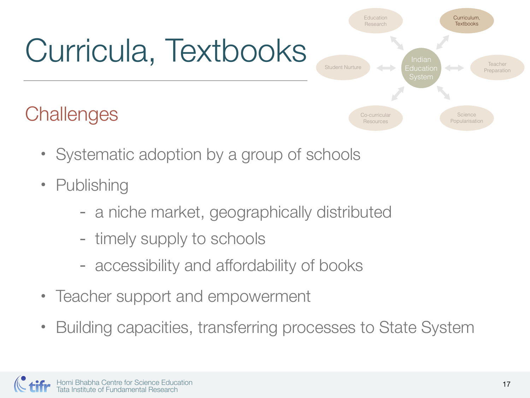# Curricula, Textbooks

#### **Challenges**

**Textbooks** Research Indian **Teacher** Student NurtureEducation 4-Preparation System **Science** Co-curricular Popularisation Resources

Curriculum,

Education

- Systematic adoption by a group of schools
- Publishing
	- a niche market, geographically distributed
	- timely supply to schools
	- accessibility and affordability of books
- Teacher support and empowerment
- Building capacities, transferring processes to State System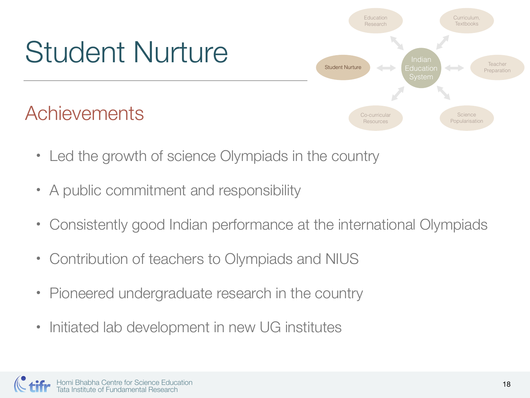

- Led the growth of science Olympiads in the country
- A public commitment and responsibility
- Consistently good Indian performance at the international Olympiads
- Contribution of teachers to Olympiads and NIUS
- Pioneered undergraduate research in the country
- Initiated lab development in new UG institutes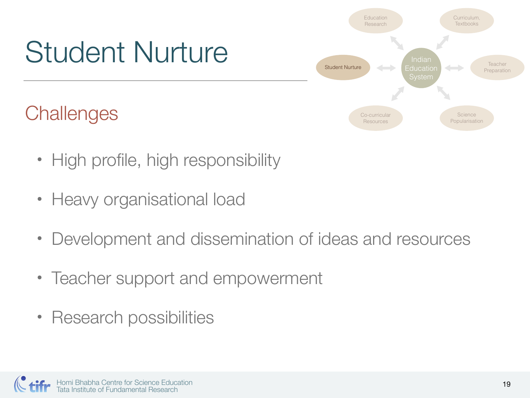

- High profile, high responsibility
- Heavy organisational load
- Development and dissemination of ideas and resources
- Teacher support and empowerment
- Research possibilities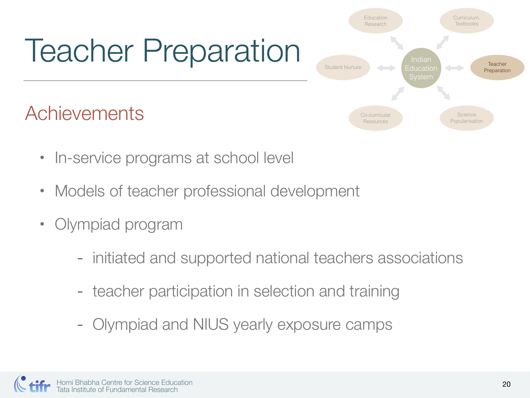## Teacher Preparation

Achievements

- Indian Education System Education Research Curriculum, **Textbooks Teacher Preparation** Co-curricular **Resources Science** Popularisation Student Nurture
- In-service programs at school level
- Models of teacher professional development
- Olympiad program
	- initiated and supported national teachers associations
	- teacher participation in selection and training
	- Olympiad and NIUS yearly exposure camps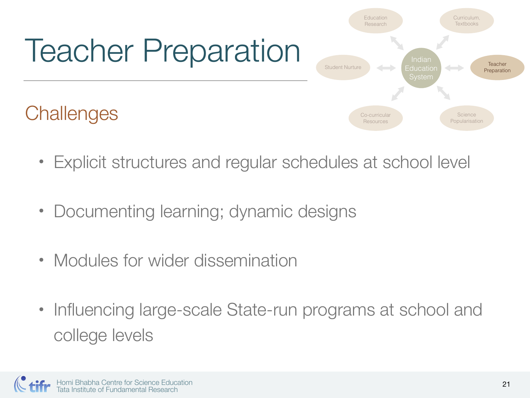

- Explicit structures and regular schedules at school level
- Documenting learning; dynamic designs
- Modules for wider dissemination
- Influencing large-scale State-run programs at school and college levels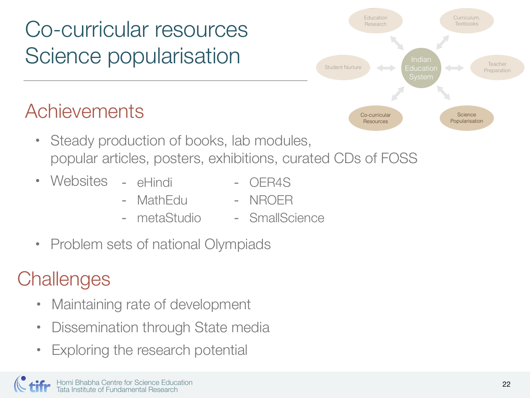#### Co-curricular resources Science popularisation

#### Achievements

- Steady production of books, lab modules, popular articles, posters, exhibitions, curated CDs of FOSS
- Websites eHindi
	-
- OER4S
- MathEdu
	- metaStudio - NROER
		- SmallScience
- Problem sets of national Olympiads

#### **Challenges**

- Maintaining rate of development
- Dissemination through State media
- Exploring the research potential

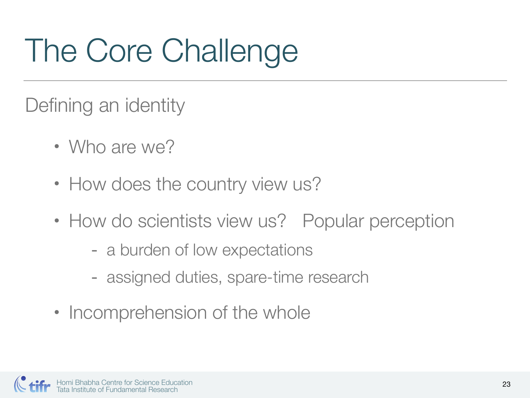# The Core Challenge

Defining an identity

- Who are we?
- How does the country view us?
- How do scientists view us? Popular perception
	- a burden of low expectations
	- assigned duties, spare-time research
- Incomprehension of the whole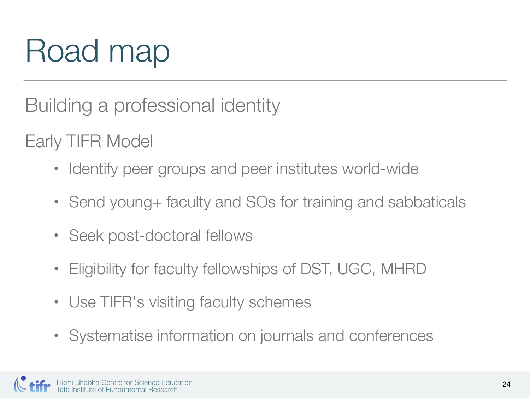## Road map

Building a professional identity

Early TIFR Model

- Identify peer groups and peer institutes world-wide
- Send young + faculty and SOs for training and sabbaticals
- Seek post-doctoral fellows
- Eligibility for faculty fellowships of DST, UGC, MHRD
- Use TIFR's visiting faculty schemes
- Systematise information on journals and conferences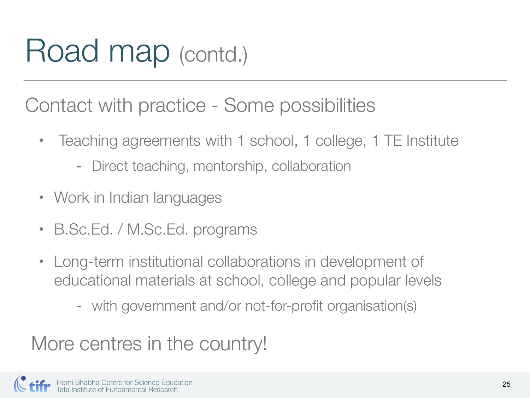### Road map (contd.)

Contact with practice - Some possibilities

- Teaching agreements with 1 school, 1 college, 1 TE Institute
	- Direct teaching, mentorship, collaboration
- Work in Indian languages
- B.Sc.Ed. / M.Sc.Ed. programs
- Long-term institutional collaborations in development of educational materials at school, college and popular levels
	- with government and/or not-for-profit organisation(s)

More centres in the country!